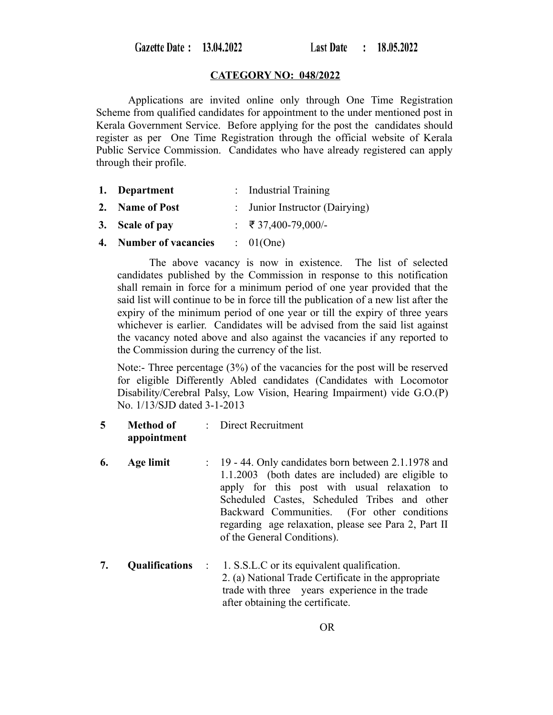Gazette Date: 13.04.2022

## **CATEGORY NO: 048/2022**

Applications are invited online only through One Time Registration Scheme from qualified candidates for appointment to the under mentioned post in Kerala Government Service. Before applying for the post the candidates should register as per One Time Registration through the official website of Kerala Public Service Commission. Candidates who have already registered can apply through their profile.

- **1. Department** : Industrial Training **2. Name of Post** : Junior Instructor (Dairying)
- **3. Scale of pay** : ₹ 37,400-79,000/-
- **4. Number of vacancies** : 01(One)

The above vacancy is now in existence. The list of selected candidates published by the Commission in response to this notification shall remain in force for a minimum period of one year provided that the said list will continue to be in force till the publication of a new list after the expiry of the minimum period of one year or till the expiry of three years whichever is earlier. Candidates will be advised from the said list against the vacancy noted above and also against the vacancies if any reported to the Commission during the currency of the list.

Note:- Three percentage (3%) of the vacancies for the post will be reserved for eligible Differently Abled candidates (Candidates with Locomotor Disability/Cerebral Palsy, Low Vision, Hearing Impairment) vide G.O.(P) No. 1/13/SJD dated 3-1-2013

- **5 Method of appointment** : Direct Recruitment
- **6. Age limit** : 19 44. Only candidates born between 2.1.1978 and 1.1.2003 (both dates are included) are eligible to apply for this post with usual relaxation to Scheduled Castes, Scheduled Tribes and other Backward Communities. (For other conditions regarding age relaxation, please see Para 2, Part II of the General Conditions).
- **7. Qualifications** : 1. S.S.L.C or its equivalent qualification. 2. (a) National Trade Certificate in the appropriate trade with three years experience in the trade after obtaining the certificate.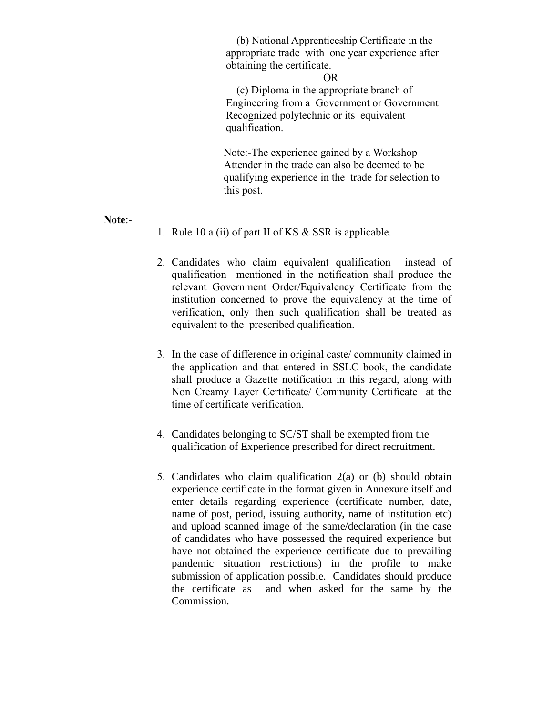(b) National Apprenticeship Certificate in the appropriate trade with one year experience after obtaining the certificate.

OR

 (c) Diploma in the appropriate branch of Engineering from a Government or Government Recognized polytechnic or its equivalent qualification.

Note:-The experience gained by a Workshop Attender in the trade can also be deemed to be qualifying experience in the trade for selection to this post.

**Note**:-

- 1. Rule 10 a (ii) of part II of KS & SSR is applicable.
- 2. Candidates who claim equivalent qualification instead of qualification mentioned in the notification shall produce the relevant Government Order/Equivalency Certificate from the institution concerned to prove the equivalency at the time of verification, only then such qualification shall be treated as equivalent to the prescribed qualification.
- 3. In the case of difference in original caste/ community claimed in the application and that entered in SSLC book, the candidate shall produce a Gazette notification in this regard, along with Non Creamy Layer Certificate/ Community Certificate at the time of certificate verification.
- 4. Candidates belonging to SC/ST shall be exempted from the qualification of Experience prescribed for direct recruitment.
- 5. Candidates who claim qualification 2(a) or (b) should obtain experience certificate in the format given in Annexure itself and enter details regarding experience (certificate number, date, name of post, period, issuing authority, name of institution etc) and upload scanned image of the same/declaration (in the case of candidates who have possessed the required experience but have not obtained the experience certificate due to prevailing pandemic situation restrictions) in the profile to make submission of application possible. Candidates should produce the certificate as and when asked for the same by the Commission.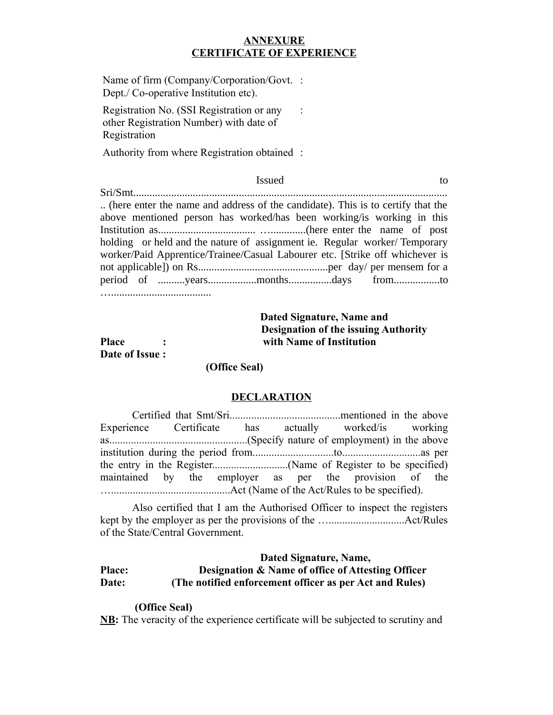# **ANNEXURE CERTIFICATE OF EXPERIENCE**

Name of firm (Company/Corporation/Govt. : Dept./ Co-operative Institution etc).

Registration No. (SSI Registration or any other Registration Number) with date of Registration :

Authority from where Registration obtained :

### **Issued** to to the set of the set of the set of the set of the set of the set of the set of the set of the set of the set of the set of the set of the set of the set of the set of the set of the set of the set of the set o

Sri/Smt.................................................................................................................... .. (here enter the name and address of the candidate). This is to certify that the above mentioned person has worked/has been working/is working in this Institution as.................................... ….............(here enter the name of post holding or held and the nature of assignment ie. Regular worker/ Temporary worker/Paid Apprentice/Trainee/Casual Labourer etc. [Strike off whichever is not applicable]) on Rs................................................per day/ per mensem for a period of ..........years..................months................days from.................to ….....................................

# **Dated Signature, Name and Designation of the issuing Authority Place : with Name of Institution**

**Date of Issue :**

 **(Office Seal)**

#### **DECLARATION**

| Experience Certificate has actually worked/is working  |  |  |  |  |  |  |  |  |  |  |
|--------------------------------------------------------|--|--|--|--|--|--|--|--|--|--|
|                                                        |  |  |  |  |  |  |  |  |  |  |
|                                                        |  |  |  |  |  |  |  |  |  |  |
|                                                        |  |  |  |  |  |  |  |  |  |  |
| maintained by the employer as per the provision of the |  |  |  |  |  |  |  |  |  |  |
|                                                        |  |  |  |  |  |  |  |  |  |  |

Also certified that I am the Authorised Officer to inspect the registers kept by the employer as per the provisions of the …............................Act/Rules of the State/Central Government.

# **Dated Signature, Name, Place: Designation & Name of office of Attesting Officer Date: (The notified enforcement officer as per Act and Rules)**

#### **(Office Seal)**

**NB:** The veracity of the experience certificate will be subjected to scrutiny and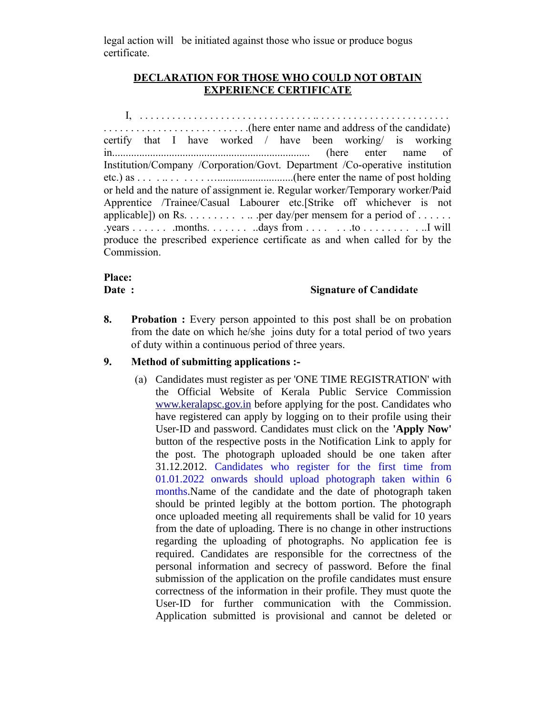legal action will be initiated against those who issue or produce bogus certificate.

# **DECLARATION FOR THOSE WHO COULD NOT OBTAIN EXPERIENCE CERTIFICATE**

I, . . . . . . . . . . . . . . . . . . . . . . . . . . . . . . . . .. . . . . . . . . . . . . . . . . . . . . . . . . . . . . . . . . . . . . . . . . . . . . . . . . . . .(here enter name and address of the candidate) certify that I have worked / have been working/ is working in......................................................................... (here enter name of Institution/Company /Corporation/Govt. Department /Co-operative institution etc.) as . . . . .. . . . . . . …............................(here enter the name of post holding or held and the nature of assignment ie. Regular worker/Temporary worker/Paid Apprentice /Trainee/Casual Labourer etc.[Strike off whichever is not applicable]) on Rs. . . . . . . . . . .. .per day/per mensem for a period of . . . . . . .years . . . . . . .months. . . . . . . ..days from . . . . . . .to . . . . . . . . . ..I will produce the prescribed experience certificate as and when called for by the Commission.

## **Place:**

# **Date :** Signature of Candidate

**8. Probation :** Every person appointed to this post shall be on probation from the date on which he/she joins duty for a total period of two years of duty within a continuous period of three years.

# **9. Method of submitting applications :-**

(a) Candidates must register as per 'ONE TIME REGISTRATION' with the Official Website of Kerala Public Service Commission [www.keralapsc.gov.in](http://www.kerealapsc.gov.in/) before applying for the post. Candidates who have registered can apply by logging on to their profile using their User-ID and password. Candidates must click on the **'Apply Now'** button of the respective posts in the Notification Link to apply for the post. The photograph uploaded should be one taken after 31.12.2012. Candidates who register for the first time from 01.01.2022 onwards should upload photograph taken within 6 months.Name of the candidate and the date of photograph taken should be printed legibly at the bottom portion. The photograph once uploaded meeting all requirements shall be valid for 10 years from the date of uploading. There is no change in other instructions regarding the uploading of photographs. No application fee is required. Candidates are responsible for the correctness of the personal information and secrecy of password. Before the final submission of the application on the profile candidates must ensure correctness of the information in their profile. They must quote the User-ID for further communication with the Commission. Application submitted is provisional and cannot be deleted or